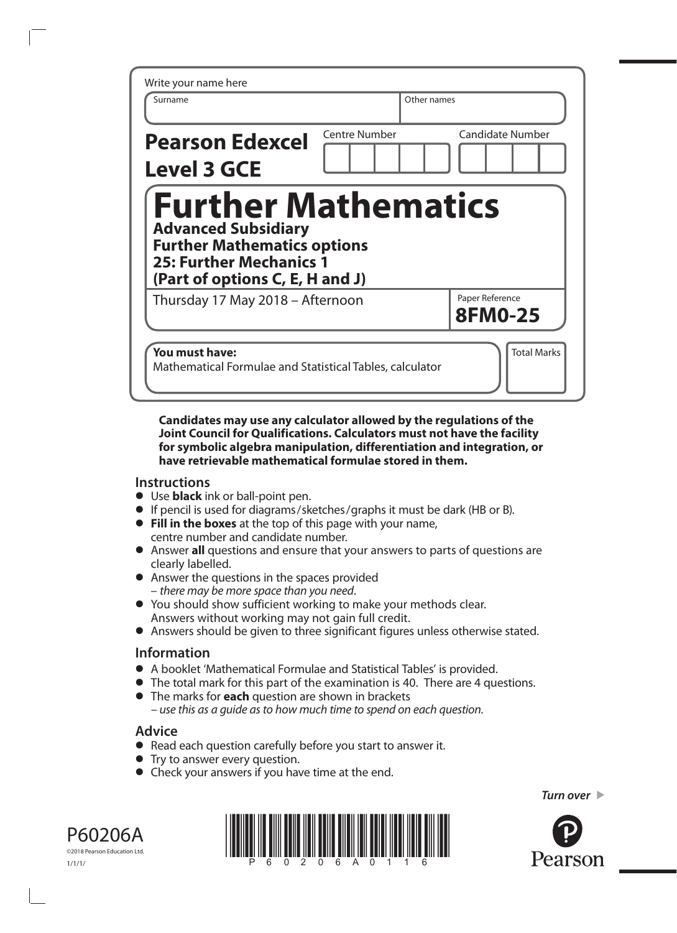| Write your name here                                                                                                                                                |                      |                                   |
|---------------------------------------------------------------------------------------------------------------------------------------------------------------------|----------------------|-----------------------------------|
| Surname                                                                                                                                                             |                      | Other names                       |
| <b>Pearson Edexcel</b><br><b>Level 3 GCE</b>                                                                                                                        | <b>Centre Number</b> | <b>Candidate Number</b>           |
| <b>Further Mathematics</b><br><b>Advanced Subsidiary</b><br><b>Further Mathematics options</b><br><b>25: Further Mechanics 1</b><br>(Part of options C, E, H and J) |                      |                                   |
| Thursday 17 May 2018 - Afternoon                                                                                                                                    |                      | Paper Reference<br><b>8FM0-25</b> |
| You must have:                                                                                                                                                      |                      | <b>Total Marks</b>                |

#### **Candidates may use any calculator allowed by the regulations of the Joint Council for Qualifications. Calculators must not have the facility for symbolic algebra manipulation, differentiation and integration, or have retrievable mathematical formulae stored in them.**

## **Instructions**

- **•** Use **black** ink or ball‑point pen.
- **•** If pencil is used for diagrams/sketches/graphs it must be dark (HB or B).
- **• Fill in the boxes** at the top of this page with your name, centre number and candidate number.
- **•** Answer **all** questions and ensure that your answers to parts of questions are clearly labelled.
- **•** Answer the questions in the spaces provided – *there may be more space than you need*.
- **•** You should show sufficient working to make your methods clear. Answers without working may not gain full credit.
- **•** Answers should be given to three significant figures unless otherwise stated.

## **Information**

- **•** A booklet 'Mathematical Formulae and Statistical Tables' is provided.
- **•** The total mark for this part of the examination is 40. There are 4 questions.
- **•** The marks for **each** question are shown in brackets *– use this as a guide as to how much time to spend on each question.*

## **Advice**

- **•** Read each question carefully before you start to answer it.
- **•** Try to answer every question.
- **•** Check your answers if you have time at the end.







*Turn over* 

Pearson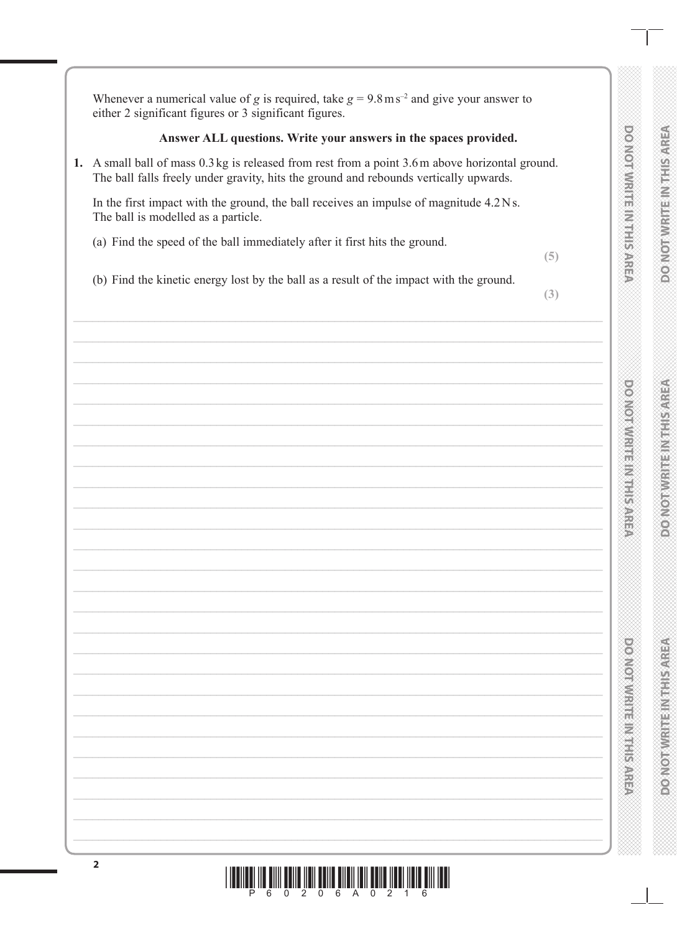**PONOTWREEINTH SAREA** 

**DO NOIAMHUE IN HIS AREA** 

**DOMORATE RESIDENCE** 

**DOMORATION IS NOT THE STREET** 

**MONORADE REPAIRING A** 

**DO NOTE THE REPORT OF STREET** 

Whenever a numerical value of g is required, take  $g = 9.8 \text{ m s}^{-2}$  and give your answer to either 2 significant figures or 3 significant figures.

### Answer ALL questions. Write your answers in the spaces provided.

1. A small ball of mass 0.3 kg is released from rest from a point 3.6 m above horizontal ground. The ball falls freely under gravity, hits the ground and rebounds vertically upwards.

In the first impact with the ground, the ball receives an impulse of magnitude 4.2 Ns. The ball is modelled as a particle.

(a) Find the speed of the ball immediately after it first hits the ground.

 $(5)$ 

(b) Find the kinetic energy lost by the ball as a result of the impact with the ground.

 $(3)$ 

# "6" 0"2" 0"6" A"0"2" 1"6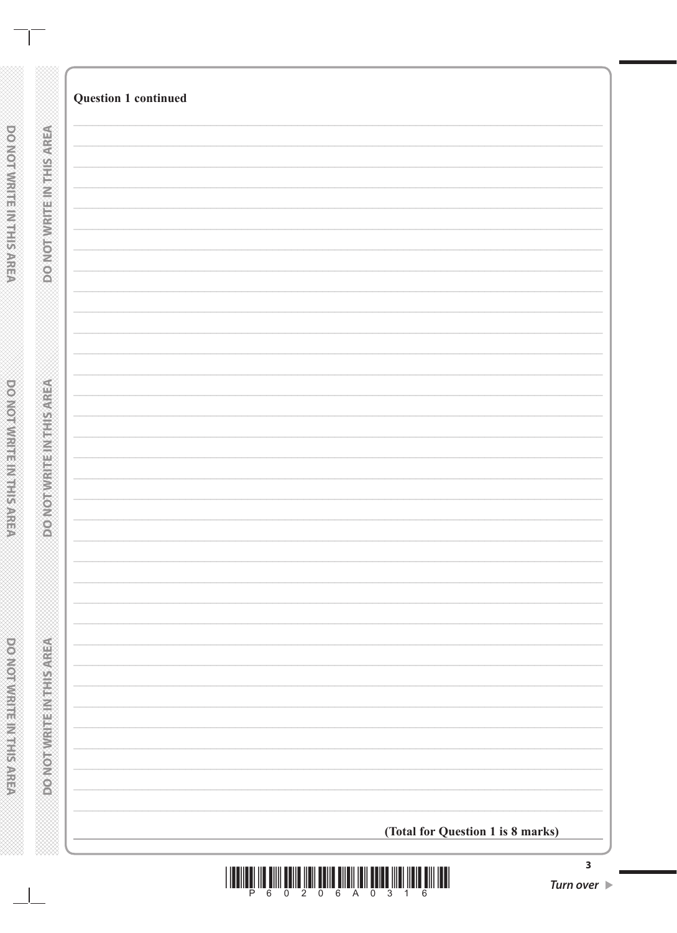| (Total for Question 1 is 8 marks) |
|-----------------------------------|
|                                   |



 $\mathbf{1}$ 

**DO NOT WRITEIN MERKER** 

**DO NOT WRITER IN THE REAL PARTS**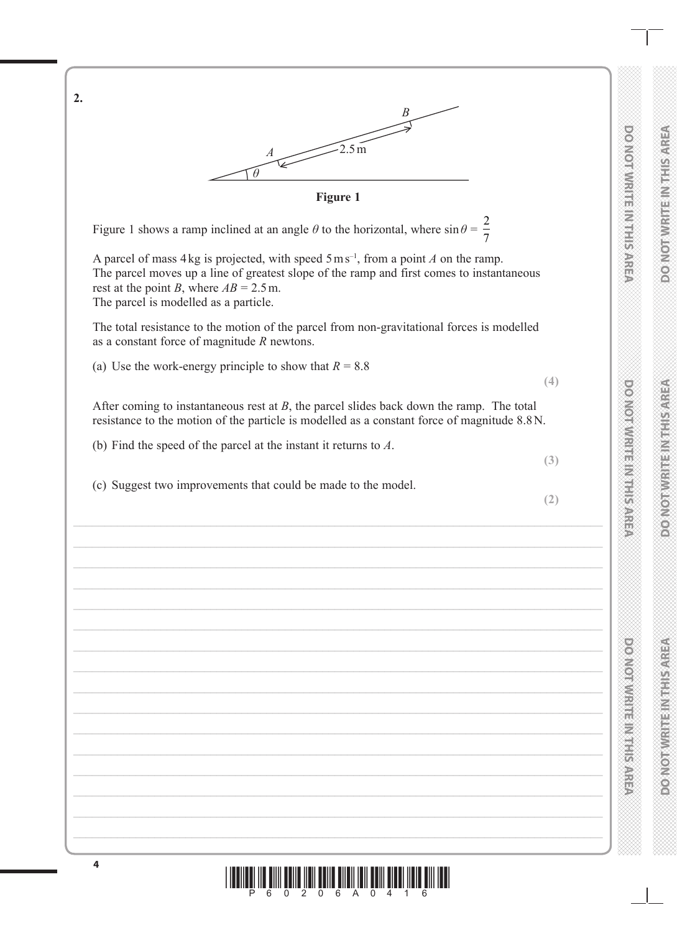

\*P60206A0416\*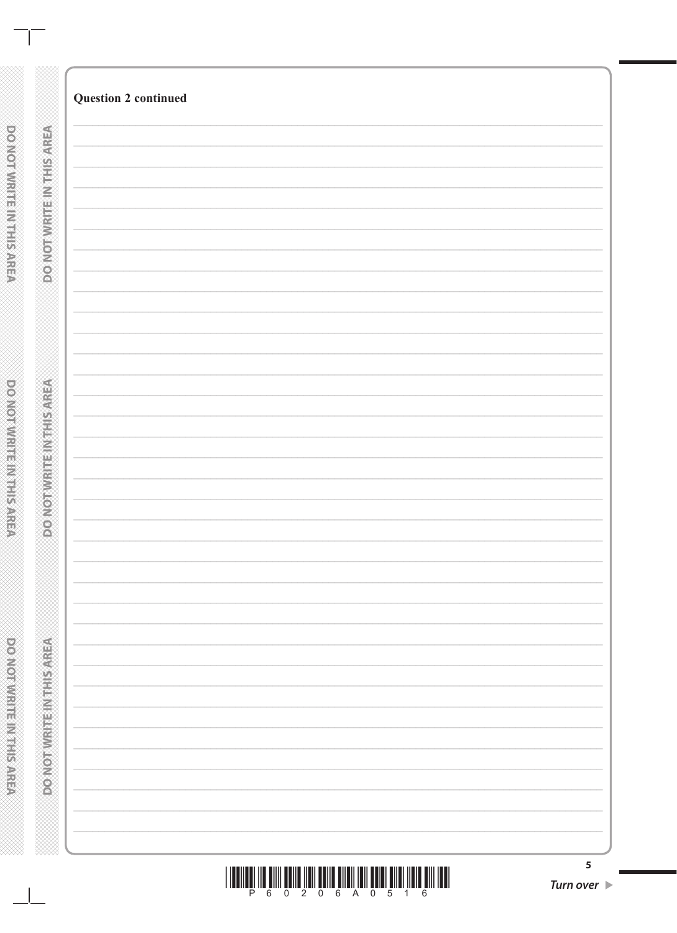|  |  |  | - 6 - |  | 5 |  |  |
|--|--|--|-------|--|---|--|--|

| 5         |  |
|-----------|--|
| Turn over |  |

| <b>DO NOTWERFEINTED AREA</b>    |  |
|---------------------------------|--|
|                                 |  |
|                                 |  |
|                                 |  |
|                                 |  |
|                                 |  |
|                                 |  |
|                                 |  |
|                                 |  |
|                                 |  |
|                                 |  |
|                                 |  |
|                                 |  |
|                                 |  |
|                                 |  |
|                                 |  |
|                                 |  |
|                                 |  |
|                                 |  |
|                                 |  |
|                                 |  |
|                                 |  |
|                                 |  |
|                                 |  |
|                                 |  |
|                                 |  |
|                                 |  |
|                                 |  |
|                                 |  |
|                                 |  |
|                                 |  |
|                                 |  |
|                                 |  |
| <b>COMORNIER REPAIRING ONCE</b> |  |
|                                 |  |
|                                 |  |
|                                 |  |
|                                 |  |
|                                 |  |
|                                 |  |
|                                 |  |
|                                 |  |
|                                 |  |
|                                 |  |
|                                 |  |
|                                 |  |
|                                 |  |
|                                 |  |
|                                 |  |
|                                 |  |
|                                 |  |
|                                 |  |
|                                 |  |
|                                 |  |
|                                 |  |
|                                 |  |
|                                 |  |
|                                 |  |
|                                 |  |
|                                 |  |
|                                 |  |
|                                 |  |
|                                 |  |
|                                 |  |
|                                 |  |
|                                 |  |
|                                 |  |
|                                 |  |
|                                 |  |
|                                 |  |
|                                 |  |
|                                 |  |
|                                 |  |
|                                 |  |
|                                 |  |
|                                 |  |
|                                 |  |
|                                 |  |
|                                 |  |
|                                 |  |
|                                 |  |
| <b>DOMORATION</b> THE MAIN      |  |
|                                 |  |
|                                 |  |
|                                 |  |
|                                 |  |
|                                 |  |
|                                 |  |
|                                 |  |
|                                 |  |
|                                 |  |
|                                 |  |
|                                 |  |
|                                 |  |
|                                 |  |
|                                 |  |
|                                 |  |
|                                 |  |

 $\mathbf{I}$ 

**Question 2 continued** 

po worware marials week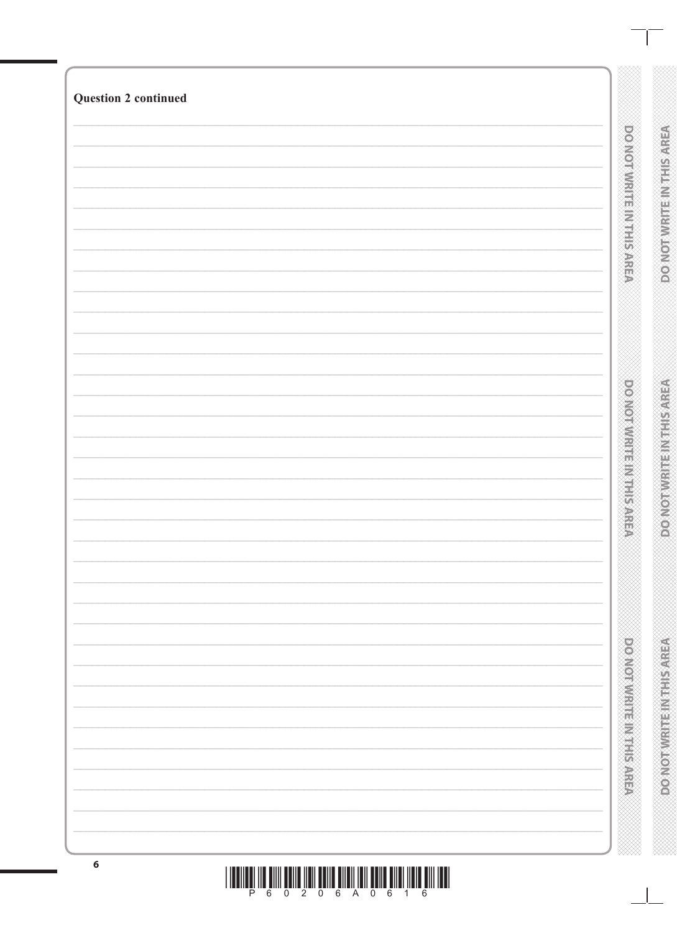| <b>Question 2 continued</b> |                               |                               |
|-----------------------------|-------------------------------|-------------------------------|
|                             | poor voorwitten Nations AREA  | <b>DO NOTWRITEINTHIS AREA</b> |
|                             | <b>DOMORATION IN PRESSURE</b> | RESIVERING PERSONAL CONCERT   |
|                             | <b>DOMORATION CONSULTANCE</b> | <b>DONORUGE REGISTED</b>      |

<u>THENILE IN ÊNIN ÊNIN ÎNIN ÊNIN ÊNENÎ NIN ÊNIN ÎNIN ÊNIN ININ</u>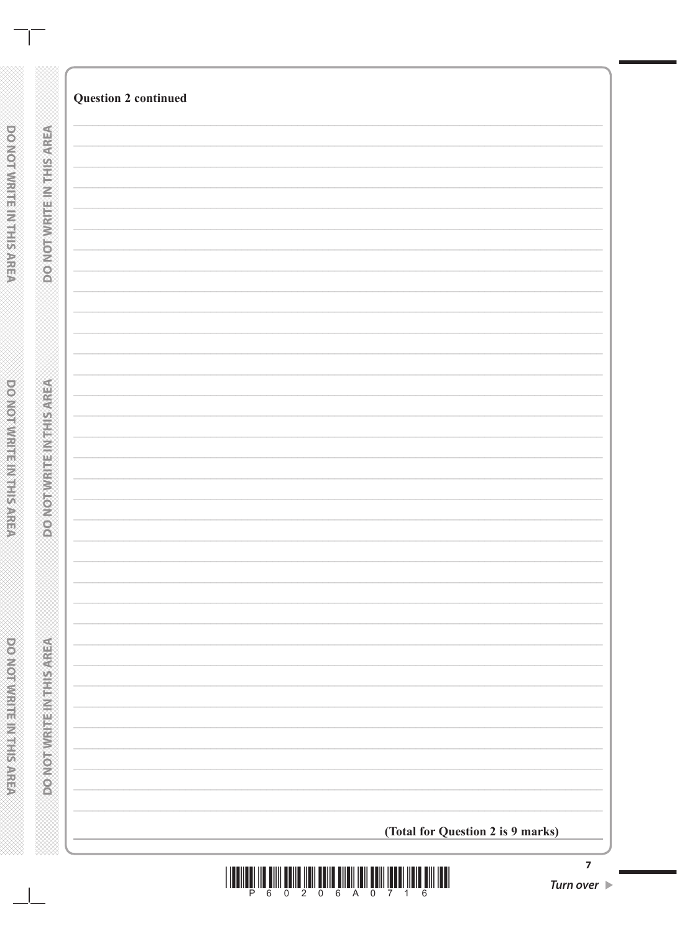| <b>Question 2 continued</b> |                                   |
|-----------------------------|-----------------------------------|
|                             |                                   |
|                             |                                   |
|                             |                                   |
|                             |                                   |
|                             |                                   |
|                             |                                   |
|                             |                                   |
|                             |                                   |
|                             |                                   |
|                             |                                   |
|                             |                                   |
|                             |                                   |
|                             |                                   |
|                             |                                   |
|                             |                                   |
|                             |                                   |
|                             |                                   |
|                             |                                   |
|                             |                                   |
|                             |                                   |
|                             |                                   |
|                             |                                   |
|                             |                                   |
|                             |                                   |
|                             |                                   |
|                             |                                   |
|                             |                                   |
|                             |                                   |
|                             |                                   |
|                             |                                   |
|                             |                                   |
|                             |                                   |
|                             |                                   |
|                             | (Total for Question 2 is 9 marks) |

 $\blacksquare$ 

DO NOTWRITE IN THIS AREA

**DOWNATION AND PARTY** 

**DOOMOTIVIRE IN THIS AREA** 

 $\mathbb{R}$ 

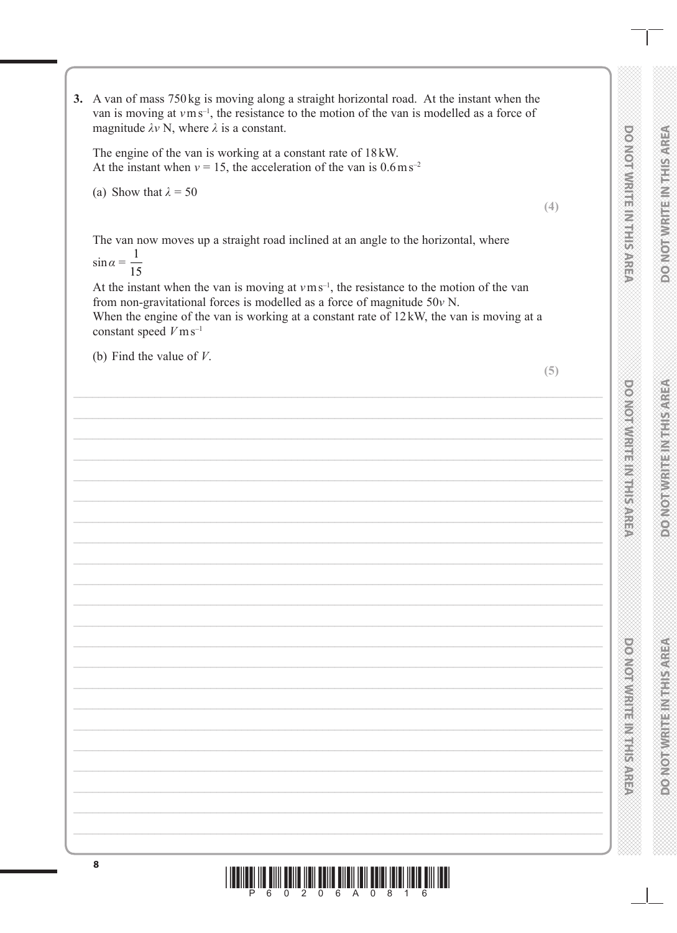**PONOTAVE TRANSPONOT** 

**DO NOIMMRITE INTHESPREP** 

 $(4)$ 

**BONION MARKET STATES AND STATES** 

**PONDERN MEDIAN STREET STREET** 

 $(5)$ <u>Filmi olimpidallari olimpidal ilmasi</u> <u>6</u> 0 2 0 6 A 0 8 1 6

3. A van of mass  $750 \text{ kg}$  is moving along a straight horizontal road. At the instant when the van is moving at  $v \, \text{m s}^{-1}$ , the resistance to the motion of the van is modelled as a force of magnitude  $\lambda v$  N, where  $\lambda$  is a constant.

The engine of the van is working at a constant rate of 18 kW. At the instant when  $v = 15$ , the acceleration of the van is  $0.6 \text{ m s}^{-2}$ 

(a) Show that  $\lambda = 50$ 

The van now moves up a straight road inclined at an angle to the horizontal, where

 $\sin \alpha = \frac{1}{15}$ 

At the instant when the van is moving at  $v \, \text{m s}^{-1}$ , the resistance to the motion of the van from non-gravitational forces is modelled as a force of magnitude  $50v$  N. When the engine of the van is working at a constant rate of  $12kW$ , the van is moving at a constant speed  $V \text{m s}^{-1}$ 

(b) Find the value of  $V$ .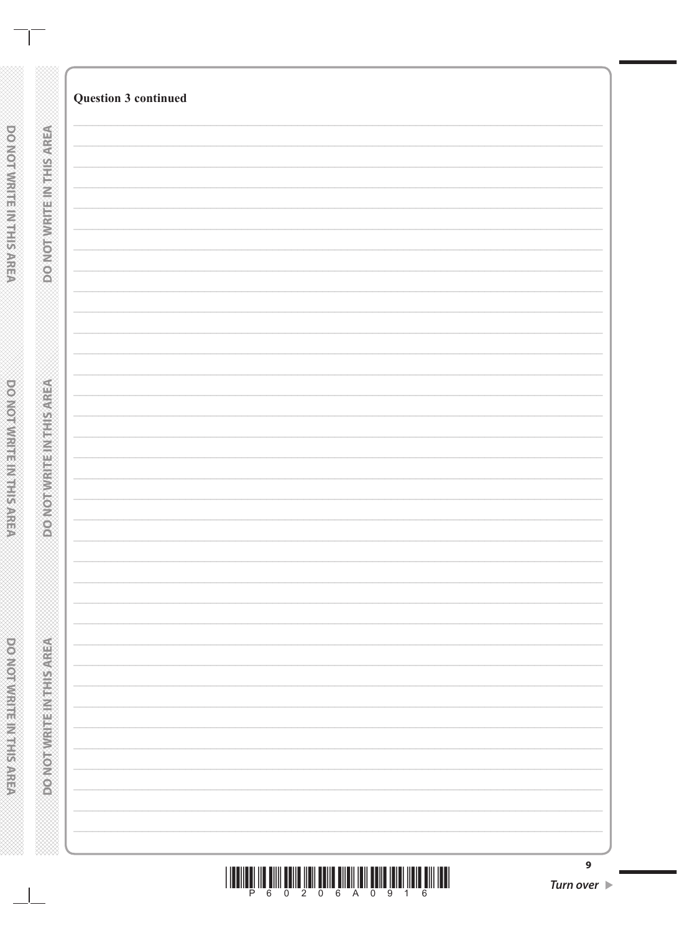| 0 2 0 6 A 0 9<br>6<br>$\blacktriangleleft$<br>6<br>P |  |
|------------------------------------------------------|--|

| Turn over D |  |
|-------------|--|

 $\mathbf{9}$ 

| <b>AN EXAMPLE IN A PROT WERE IN THE SARE</b> |  |
|----------------------------------------------|--|

œ

DONOTWRITE INTHISAREA

**PONOTWRITERNITHS AREA** 

**Question 3 continued**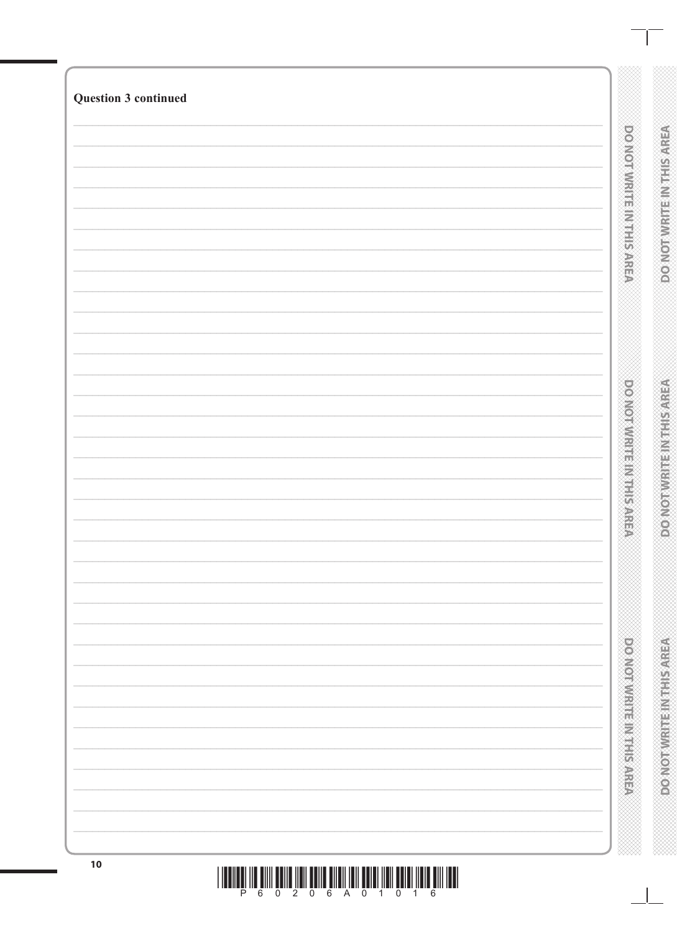| <b>DOMOTIVE LETTER SARRE</b> | <b>BOINGSINGSTERS NOTES</b>  |
|------------------------------|------------------------------|
|                              |                              |
| <b>DONORMENT IN THE SARD</b> | <b>DO NOTWARTEINTHISMREA</b> |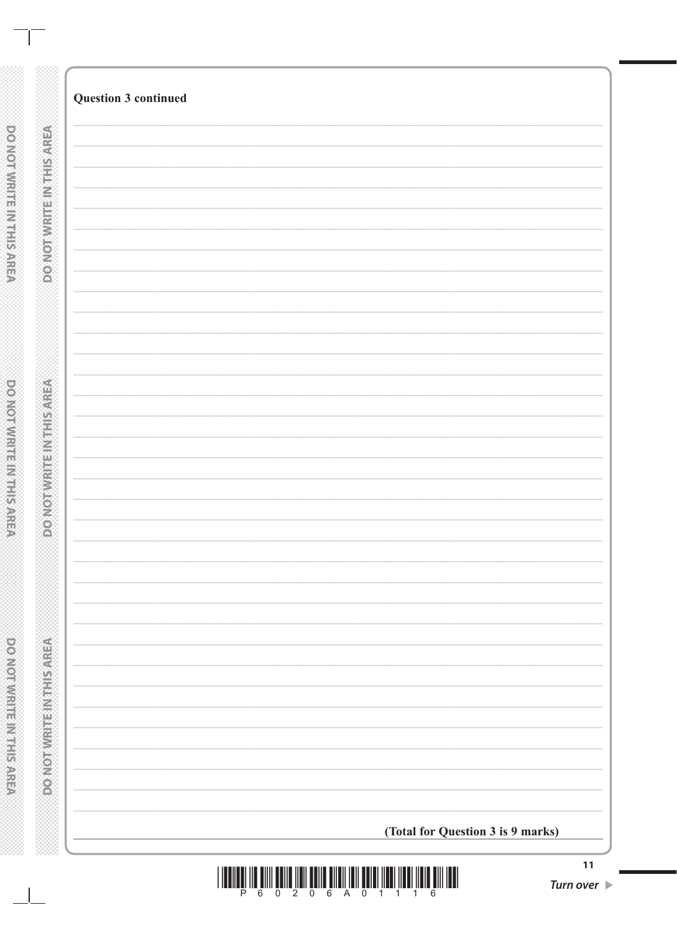| <b>Question 3 continued</b>       |  |
|-----------------------------------|--|
|                                   |  |
|                                   |  |
|                                   |  |
|                                   |  |
|                                   |  |
|                                   |  |
|                                   |  |
|                                   |  |
|                                   |  |
|                                   |  |
|                                   |  |
|                                   |  |
|                                   |  |
|                                   |  |
|                                   |  |
|                                   |  |
|                                   |  |
|                                   |  |
|                                   |  |
|                                   |  |
|                                   |  |
|                                   |  |
|                                   |  |
|                                   |  |
|                                   |  |
|                                   |  |
|                                   |  |
|                                   |  |
|                                   |  |
|                                   |  |
|                                   |  |
|                                   |  |
|                                   |  |
|                                   |  |
|                                   |  |
|                                   |  |
|                                   |  |
|                                   |  |
|                                   |  |
|                                   |  |
|                                   |  |
|                                   |  |
|                                   |  |
|                                   |  |
|                                   |  |
|                                   |  |
|                                   |  |
|                                   |  |
|                                   |  |
|                                   |  |
|                                   |  |
|                                   |  |
|                                   |  |
|                                   |  |
|                                   |  |
|                                   |  |
| (Total for Question 3 is 9 marks) |  |
|                                   |  |
|                                   |  |



**POMOTIVIRIUS IN TERRISTICAL** 

 $\Box$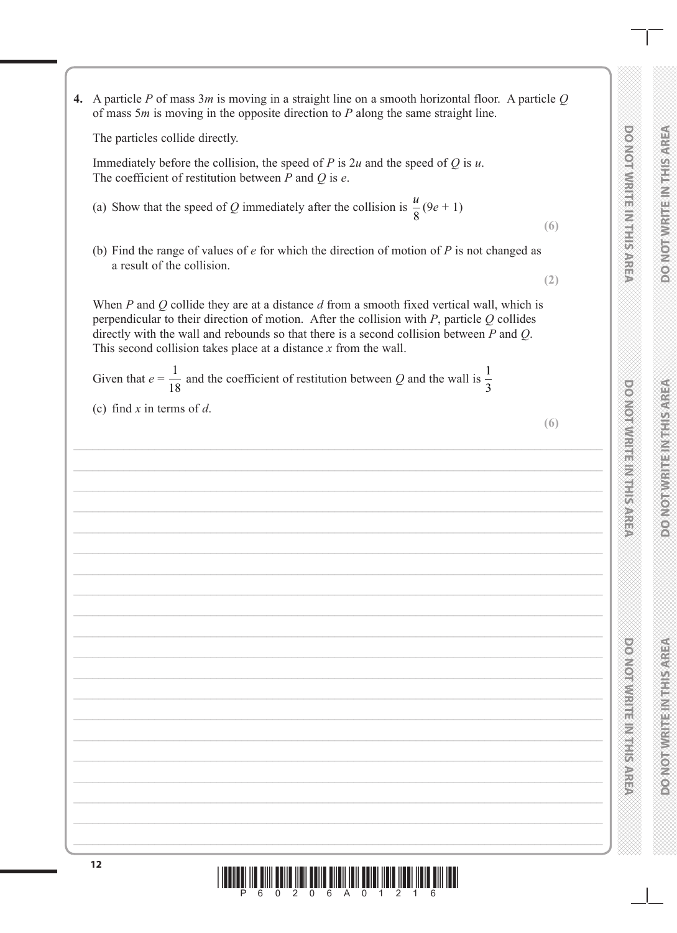|                               | È                    |    |
|-------------------------------|----------------------|----|
|                               | Ŵ                    |    |
|                               |                      |    |
| š                             | r<br>E               |    |
| $\overline{\phantom{a}}$      |                      |    |
|                               |                      | ţ  |
| i                             |                      |    |
| l                             |                      |    |
|                               | S<br>F               |    |
| ć                             | E                    |    |
| ׇ֦֘֝                          |                      |    |
| ć                             |                      |    |
|                               | 医医院                  |    |
| i                             |                      |    |
| $\overline{\phantom{a}}$      |                      |    |
| i                             |                      |    |
| l                             | is<br>Ca             |    |
| $\overline{\phantom{a}}$      |                      |    |
| į                             | e<br>M               |    |
| l                             |                      |    |
|                               |                      |    |
| ì<br>֦֘                       |                      |    |
| į                             | Õ<br>į               |    |
|                               | E<br>OO              |    |
| $\overline{a}$                |                      |    |
| ć                             |                      |    |
|                               |                      |    |
|                               |                      |    |
| ć                             |                      |    |
|                               |                      |    |
| i                             |                      |    |
| į                             |                      |    |
|                               |                      |    |
| į                             |                      |    |
| í                             |                      |    |
|                               |                      |    |
| š                             |                      |    |
| $\overline{\phantom{a}}$      |                      |    |
|                               |                      |    |
| l                             |                      |    |
| ć                             |                      |    |
|                               |                      |    |
| ć                             |                      |    |
| ć                             |                      |    |
|                               |                      |    |
| į                             |                      |    |
| i                             |                      |    |
|                               |                      |    |
| į                             |                      |    |
| $\overline{\phantom{a}}$<br>l |                      |    |
| i                             |                      |    |
| i<br>į                        |                      |    |
| こくさん くくく くく                   |                      |    |
| ֦                             |                      |    |
| $\overline{\phantom{a}}$      |                      |    |
|                               |                      |    |
| i<br>Silah                    |                      |    |
|                               |                      |    |
|                               |                      |    |
| į                             |                      |    |
| l<br>$\overline{a}$           | 医皮肤                  |    |
| i                             |                      |    |
| $\overline{\phantom{a}}$      |                      |    |
| l                             |                      |    |
| $\overline{\phantom{a}}$<br>į |                      |    |
| $\overline{\phantom{a}}$      |                      |    |
| l                             |                      |    |
| i                             | i<br>O               |    |
|                               |                      |    |
| į                             |                      |    |
|                               | Ź                    |    |
|                               |                      |    |
| へへへへへい                        | $\frac{1}{2}$        |    |
|                               |                      |    |
|                               |                      |    |
| ċ                             |                      |    |
|                               |                      |    |
|                               |                      |    |
|                               |                      |    |
|                               |                      |    |
|                               |                      |    |
|                               |                      |    |
|                               |                      |    |
|                               |                      |    |
|                               |                      |    |
|                               |                      |    |
|                               |                      |    |
| ć<br>į                        |                      |    |
| ć                             |                      |    |
|                               |                      |    |
| į                             |                      |    |
| ć                             |                      |    |
|                               |                      |    |
| ċ                             |                      |    |
|                               |                      |    |
| ć                             | C                    | í. |
|                               |                      |    |
| ć                             | I<br>k               | ŭ  |
| ì<br>è                        | Ġ.                   |    |
|                               |                      |    |
| ć<br>ċ                        | €                    |    |
| ś                             | ţ<br>Ø.              |    |
| ć                             | ≃                    | u  |
| ś<br>Ŝ                        | è<br>í               | ś  |
|                               | į                    |    |
| Ŝ                             | ŀ                    | u  |
| į                             | í<br>ì               |    |
|                               | Z                    |    |
|                               | ¥                    | ×  |
| ć                             | ш                    |    |
|                               |                      |    |
| ć                             | M<br>₩               |    |
| ć                             |                      | ×  |
|                               | ć                    |    |
| ï<br>ì                        | ۳<br>e               |    |
| ì                             | 'n                   | 'n |
|                               | ֖֖֖֚֚֚֚֚֚֬<br>ŀ<br>ä |    |
| ć<br>ċ                        |                      |    |
|                               | Ó                    |    |
|                               | é                    | í  |
| ć                             | é                    |    |
|                               |                      |    |
|                               | è<br>C<br>C<br>C     |    |

**DO NOT WRITE IN THIS AREA** 

DO NOT WRITE IN THIS AREA

**DO NOT WRITE IN THIS AREA**

**DONOS NO SHIP REPORTS TO PERFECT** 

**DO NOT WRITE IN THIS AREA**

**MERICANS** 

| Immediately before the collision, the speed of P is $2u$ and the speed of Q is u.<br>The coefficient of restitution between $P$ and $Q$ is $e$ .                                                                                                                                                                                                                           |     |
|----------------------------------------------------------------------------------------------------------------------------------------------------------------------------------------------------------------------------------------------------------------------------------------------------------------------------------------------------------------------------|-----|
| (a) Show that the speed of Q immediately after the collision is $\frac{u}{8}(9e+1)$                                                                                                                                                                                                                                                                                        | (6) |
| (b) Find the range of values of $e$ for which the direction of motion of $P$ is not changed as<br>a result of the collision.                                                                                                                                                                                                                                               |     |
| When $P$ and $Q$ collide they are at a distance $d$ from a smooth fixed vertical wall, which is<br>perpendicular to their direction of motion. After the collision with $P$ , particle $Q$ collides<br>directly with the wall and rebounds so that there is a second collision between $P$ and $Q$ .<br>This second collision takes place at a distance $x$ from the wall. | (2) |
| Given that $e = \frac{1}{18}$ and the coefficient of restitution between Q and the wall is $\frac{1}{3}$                                                                                                                                                                                                                                                                   |     |
| (c) find x in terms of d.                                                                                                                                                                                                                                                                                                                                                  | (6) |
|                                                                                                                                                                                                                                                                                                                                                                            |     |
|                                                                                                                                                                                                                                                                                                                                                                            |     |
|                                                                                                                                                                                                                                                                                                                                                                            |     |
|                                                                                                                                                                                                                                                                                                                                                                            |     |
|                                                                                                                                                                                                                                                                                                                                                                            |     |
|                                                                                                                                                                                                                                                                                                                                                                            |     |
|                                                                                                                                                                                                                                                                                                                                                                            |     |
|                                                                                                                                                                                                                                                                                                                                                                            |     |
|                                                                                                                                                                                                                                                                                                                                                                            |     |
|                                                                                                                                                                                                                                                                                                                                                                            |     |
|                                                                                                                                                                                                                                                                                                                                                                            |     |
|                                                                                                                                                                                                                                                                                                                                                                            |     |
|                                                                                                                                                                                                                                                                                                                                                                            |     |
|                                                                                                                                                                                                                                                                                                                                                                            |     |
| 12<br><b>THE HELL OF</b><br>∭<br><u>HIII IIIII IIIIIII</u>                                                                                                                                                                                                                                                                                                                 |     |
|                                                                                                                                                                                                                                                                                                                                                                            |     |

**4.** A particle *P* of mass 3*m* is moving in a straight line on a smooth horizontal floor. A particle *Q* of mass 5*m* is moving in the opposite direction to *P* along the same straight line.

The particles collide directly.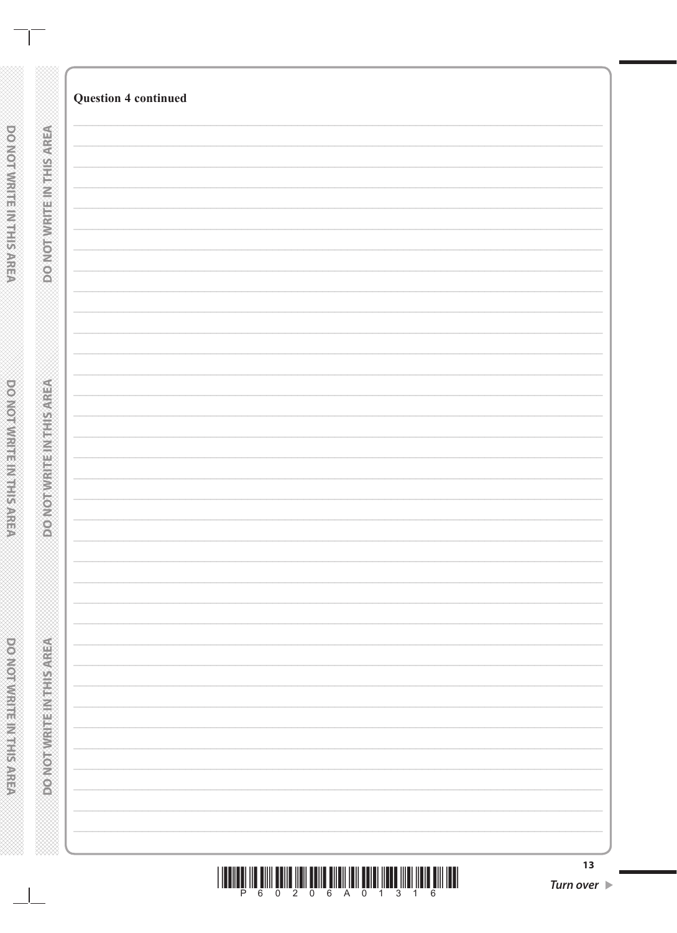|                                  | <b>Question 4 continued</b>                                                                                                                                                                                                                                                                                                                                                                                                                                                                                                                         |                  |
|----------------------------------|-----------------------------------------------------------------------------------------------------------------------------------------------------------------------------------------------------------------------------------------------------------------------------------------------------------------------------------------------------------------------------------------------------------------------------------------------------------------------------------------------------------------------------------------------------|------------------|
|                                  |                                                                                                                                                                                                                                                                                                                                                                                                                                                                                                                                                     |                  |
| <b>DO NOT WRITE IN THIS AREA</b> |                                                                                                                                                                                                                                                                                                                                                                                                                                                                                                                                                     |                  |
|                                  |                                                                                                                                                                                                                                                                                                                                                                                                                                                                                                                                                     |                  |
|                                  |                                                                                                                                                                                                                                                                                                                                                                                                                                                                                                                                                     |                  |
|                                  |                                                                                                                                                                                                                                                                                                                                                                                                                                                                                                                                                     |                  |
|                                  |                                                                                                                                                                                                                                                                                                                                                                                                                                                                                                                                                     |                  |
|                                  |                                                                                                                                                                                                                                                                                                                                                                                                                                                                                                                                                     |                  |
|                                  |                                                                                                                                                                                                                                                                                                                                                                                                                                                                                                                                                     |                  |
|                                  |                                                                                                                                                                                                                                                                                                                                                                                                                                                                                                                                                     |                  |
|                                  |                                                                                                                                                                                                                                                                                                                                                                                                                                                                                                                                                     |                  |
|                                  |                                                                                                                                                                                                                                                                                                                                                                                                                                                                                                                                                     |                  |
| <b>PONOTAVE TENTHISMEPA</b>      |                                                                                                                                                                                                                                                                                                                                                                                                                                                                                                                                                     |                  |
|                                  |                                                                                                                                                                                                                                                                                                                                                                                                                                                                                                                                                     |                  |
|                                  |                                                                                                                                                                                                                                                                                                                                                                                                                                                                                                                                                     |                  |
|                                  |                                                                                                                                                                                                                                                                                                                                                                                                                                                                                                                                                     |                  |
|                                  |                                                                                                                                                                                                                                                                                                                                                                                                                                                                                                                                                     |                  |
|                                  |                                                                                                                                                                                                                                                                                                                                                                                                                                                                                                                                                     |                  |
|                                  |                                                                                                                                                                                                                                                                                                                                                                                                                                                                                                                                                     |                  |
|                                  |                                                                                                                                                                                                                                                                                                                                                                                                                                                                                                                                                     |                  |
|                                  |                                                                                                                                                                                                                                                                                                                                                                                                                                                                                                                                                     |                  |
| <b>MONOSHIPLE RESINGED NO.</b>   |                                                                                                                                                                                                                                                                                                                                                                                                                                                                                                                                                     |                  |
|                                  |                                                                                                                                                                                                                                                                                                                                                                                                                                                                                                                                                     |                  |
|                                  |                                                                                                                                                                                                                                                                                                                                                                                                                                                                                                                                                     |                  |
|                                  |                                                                                                                                                                                                                                                                                                                                                                                                                                                                                                                                                     |                  |
|                                  |                                                                                                                                                                                                                                                                                                                                                                                                                                                                                                                                                     |                  |
|                                  |                                                                                                                                                                                                                                                                                                                                                                                                                                                                                                                                                     |                  |
|                                  | $\begin{array}{c} \text{array}\begin{bmatrix} 0 \\ \text{max} \end{bmatrix} & \text{array}\begin{bmatrix} 0 \\ \text{max} \end{bmatrix} & \text{array}\begin{bmatrix} 0 \\ \text{max} \end{bmatrix} & \text{array}\begin{bmatrix} 0 \\ \text{max} \end{bmatrix} & \text{array}\begin{bmatrix} 0 \\ \text{max} \end{bmatrix} & \text{array}\begin{bmatrix} 0 \\ \text{max} \end{bmatrix} & \text{array}\begin{bmatrix} 0 \\ \text{max} \end{bmatrix} & \text{array}\begin{bmatrix} 0 \\ \text{max} \end{bmatrix} & \text{array}\begin{bmatrix} 0 \\$ | 13               |
|                                  |                                                                                                                                                                                                                                                                                                                                                                                                                                                                                                                                                     | <b>Turn over</b> |

DO NOT WRITE IN THIS AREA

 $\blacksquare$ 

**DO NOTWRITEINING** 

powerwreter Mississipped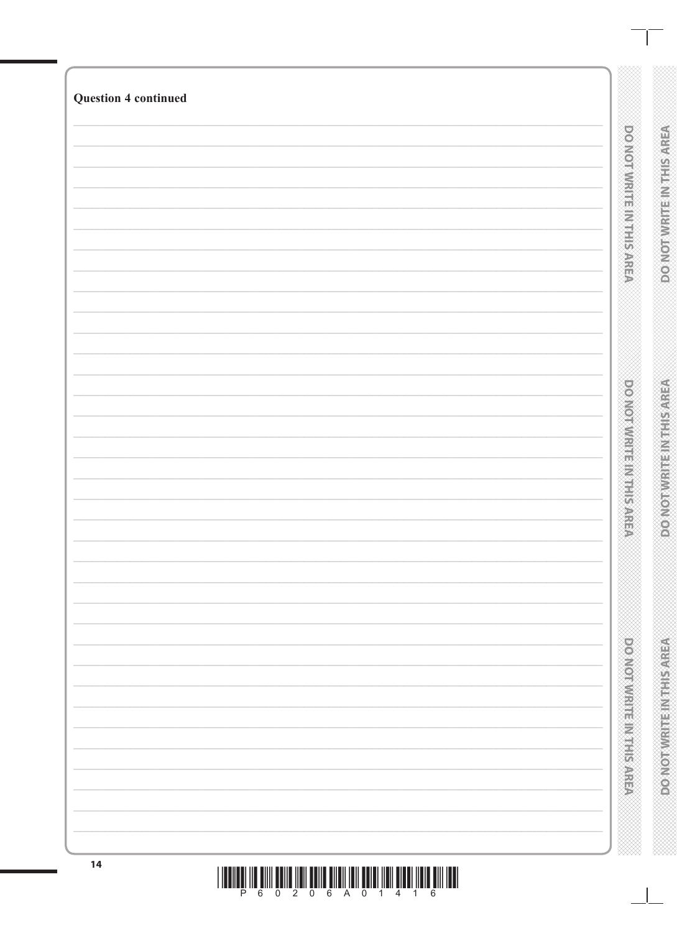|  | <b>DOOM ON A PART IS A PART IS A PART OF</b> | <b>VERVES IN REPAIRING CONCRETE</b> |
|--|----------------------------------------------|-------------------------------------|
|  | <b>DOMORATION IN PRESSURE</b>                | VERVIS PROFILER PRODUCTION          |
|  | po vonvivine in maker                        | DO NOT WRITEIN THIS AREA            |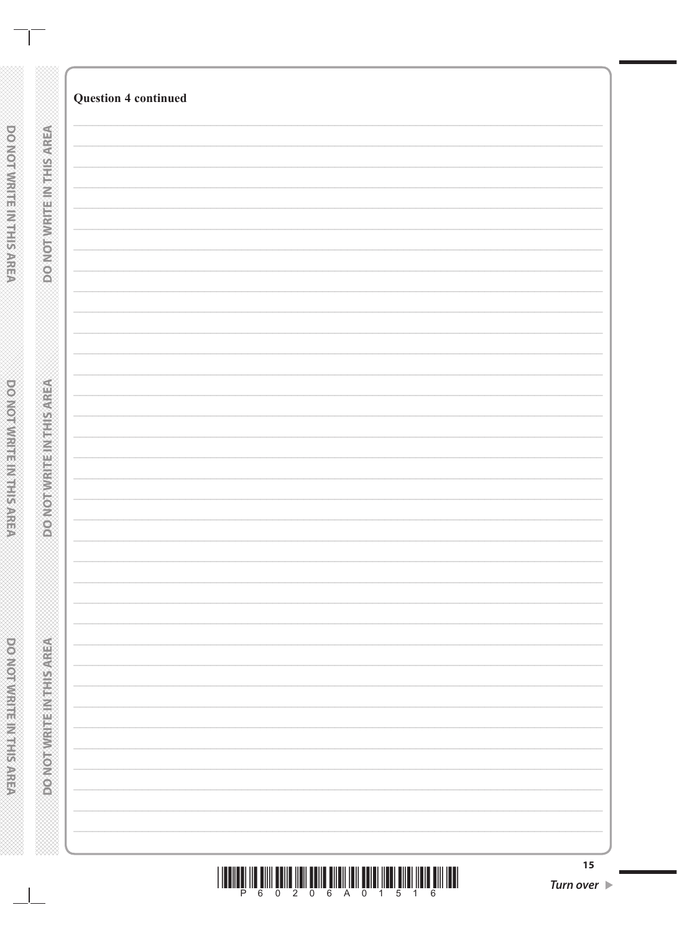| 15<br><b>Turn over</b> |
|------------------------|

 $\mathbb{R}$ 

**DO NOT WRITER IN THE REAL PARTS**